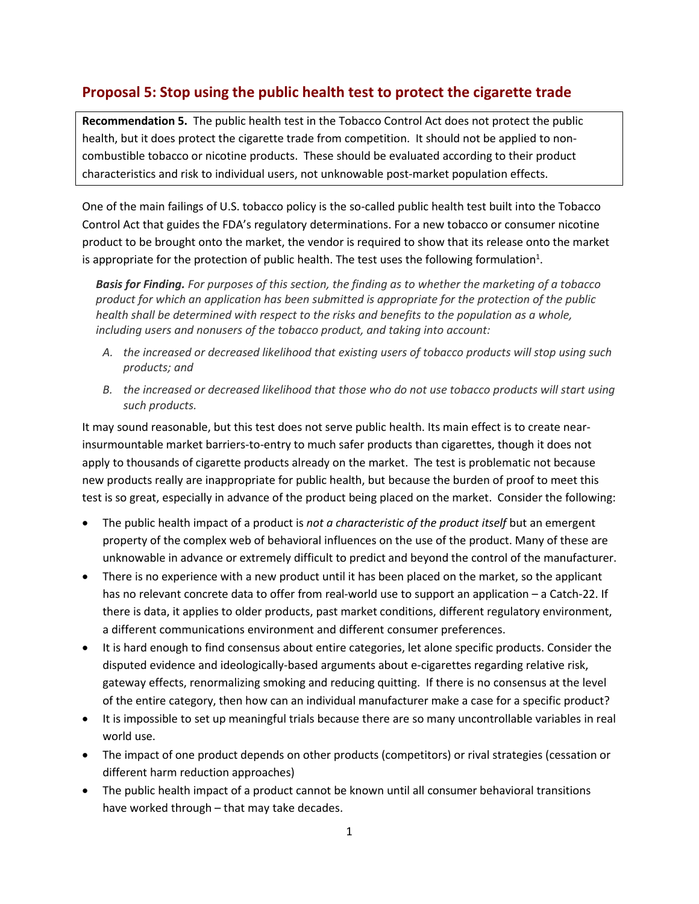## **Proposal 5: Stop using the public health test to protect the cigarette trade**

**Recommendation 5.** The public health test in the Tobacco Control Act does not protect the public health, but it does protect the cigarette trade from competition. It should not be applied to noncombustible tobacco or nicotine products. These should be evaluated according to their product characteristics and risk to individual users, not unknowable post-market population effects.

One of the main failings of U.S. tobacco policy is the so-called public health test built into the Tobacco Control Act that guides the FDA's regulatory determinations. For a new tobacco or consumer nicotine product to be brought onto the market, the vendor is required to show that its release onto the market is appropriate for the protection of public health. The test uses the following formulation<sup>1</sup>.

*Basis for Finding. For purposes of this section, the finding as to whether the marketing of a tobacco product for which an application has been submitted is appropriate for the protection of the public health shall be determined with respect to the risks and benefits to the population as a whole, including users and nonusers of the tobacco product, and taking into account:*

- *A. the increased or decreased likelihood that existing users of tobacco products will stop using such products; and*
- *B. the increased or decreased likelihood that those who do not use tobacco products will start using such products.*

It may sound reasonable, but this test does not serve public health. Its main effect is to create nearinsurmountable market barriers-to-entry to much safer products than cigarettes, though it does not apply to thousands of cigarette products already on the market. The test is problematic not because new products really are inappropriate for public health, but because the burden of proof to meet this test is so great, especially in advance of the product being placed on the market. Consider the following:

- The public health impact of a product is *not a characteristic of the product itself* but an emergent property of the complex web of behavioral influences on the use of the product. Many of these are unknowable in advance or extremely difficult to predict and beyond the control of the manufacturer.
- There is no experience with a new product until it has been placed on the market, so the applicant has no relevant concrete data to offer from real-world use to support an application – a Catch-22. If there is data, it applies to older products, past market conditions, different regulatory environment, a different communications environment and different consumer preferences.
- It is hard enough to find consensus about entire categories, let alone specific products. Consider the disputed evidence and ideologically-based arguments about e-cigarettes regarding relative risk, gateway effects, renormalizing smoking and reducing quitting. If there is no consensus at the level of the entire category, then how can an individual manufacturer make a case for a specific product?
- It is impossible to set up meaningful trials because there are so many uncontrollable variables in real world use.
- The impact of one product depends on other products (competitors) or rival strategies (cessation or different harm reduction approaches)
- The public health impact of a product cannot be known until all consumer behavioral transitions have worked through – that may take decades.